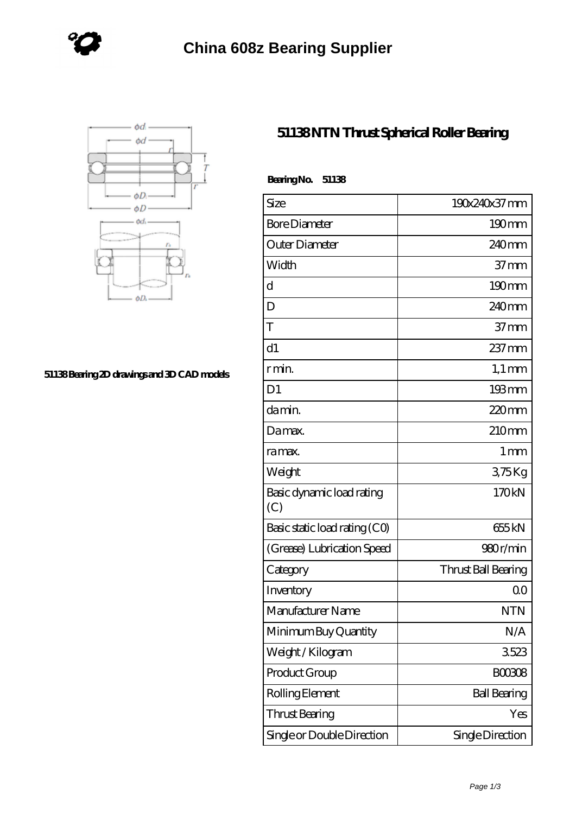



## **[51138 Bearing 2D drawings and 3D CAD models](https://www.holyland-wholesale.com/pic-1114000.html)**

## **[51138 NTN Thrust Spherical Roller Bearing](https://www.holyland-wholesale.com/tapered-roller-bearing/51138.html)**

| BearingNo.<br>51138              |                     |
|----------------------------------|---------------------|
| Size                             | 190x240x37 mm       |
| <b>Bore Diameter</b>             | $190 \text{mm}$     |
| Outer Diameter                   | 240 <sub>mm</sub>   |
| Width                            | 37 <sub>mm</sub>    |
| d                                | $190 \text{mm}$     |
| D                                | 240 <sub>mm</sub>   |
| T                                | 37 <sub>mm</sub>    |
| d1                               | 237 mm              |
| r min.                           | $1,1 \text{ mm}$    |
| D <sub>1</sub>                   | 193mm               |
| da min.                          | $220$ mm            |
| Damax.                           | 210mm               |
| ra max.                          | $1 \,\mathrm{mm}$   |
| Weight                           | 375Kg               |
| Basic dynamic load rating<br>(C) | 170kN               |
| Basic static load rating (CO)    | 655 kN              |
| (Grease) Lubrication Speed       | 980r/min            |
| Category                         | Thrust Ball Bearing |
| Inventory                        | 0 <sup>0</sup>      |
| Manufacturer Name                | <b>NTN</b>          |
| Minimum Buy Quantity             | N/A                 |
| Weight / Kilogram                | 3523                |
| Product Group                    | <b>BOO3O8</b>       |
| Rolling Element                  | <b>Ball Bearing</b> |
| Thrust Bearing                   | Yes                 |
| Single or Double Direction       | Single Direction    |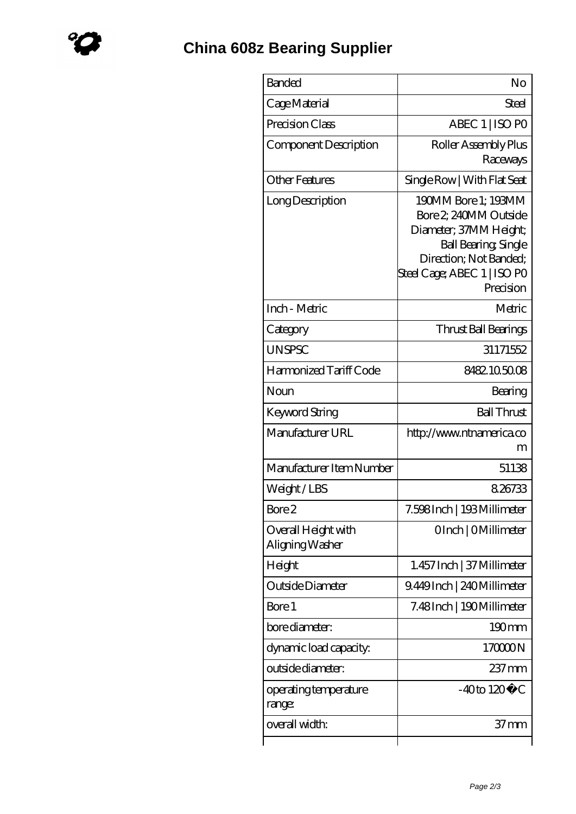| <b>Banded</b>                          | No                                                                                                                                                                          |
|----------------------------------------|-----------------------------------------------------------------------------------------------------------------------------------------------------------------------------|
| Cage Material                          | Steel                                                                                                                                                                       |
| Precision Class                        | ABEC 1   ISO PO                                                                                                                                                             |
| Component Description                  | Roller Assembly Plus<br>Raceways                                                                                                                                            |
| <b>Other Features</b>                  | Single Row   With Flat Seat                                                                                                                                                 |
| Long Description                       | 190MM Bore 1: 193MM<br>Bore 2, 240MM Outside<br>Diameter; 37MM Height;<br><b>Ball Bearing, Single</b><br>Direction; Not Banded;<br>Steel Cage; ABEC 1   ISO PO<br>Precision |
| Inch - Metric                          | Metric                                                                                                                                                                      |
| Category                               | Thrust Ball Bearings                                                                                                                                                        |
| <b>UNSPSC</b>                          | 31171552                                                                                                                                                                    |
| Harmonized Tariff Code                 | 8482105008                                                                                                                                                                  |
| Noun                                   | Bearing                                                                                                                                                                     |
| Keyword String                         | <b>Ball Thrust</b>                                                                                                                                                          |
| Manufacturer URL                       | http://www.ntnamerica.co<br>m                                                                                                                                               |
| Manufacturer Item Number               | 51138                                                                                                                                                                       |
| Weight/LBS                             | 8,26733                                                                                                                                                                     |
| Bore 2                                 | 7.598 Inch   193 Millimeter                                                                                                                                                 |
| Overall Height with<br>Aligning Washer | OInch   OMillimeter                                                                                                                                                         |
| Height                                 | 1.457 Inch   37 Millimeter                                                                                                                                                  |
| Outside Diameter                       | 9.449Inch   240Millimeter                                                                                                                                                   |
| Bore 1                                 | 7.48Inch   190Millimeter                                                                                                                                                    |
| bore diameter:                         | $190 \text{mm}$                                                                                                                                                             |
| dynamic load capacity:                 | 170000N                                                                                                                                                                     |
| outside diameter:                      | $237 \text{mm}$                                                                                                                                                             |
| operating temperature<br>range:        | $-40$ to $120^{\circ}$ C                                                                                                                                                    |
| overall width:                         | 37 mm                                                                                                                                                                       |
|                                        |                                                                                                                                                                             |